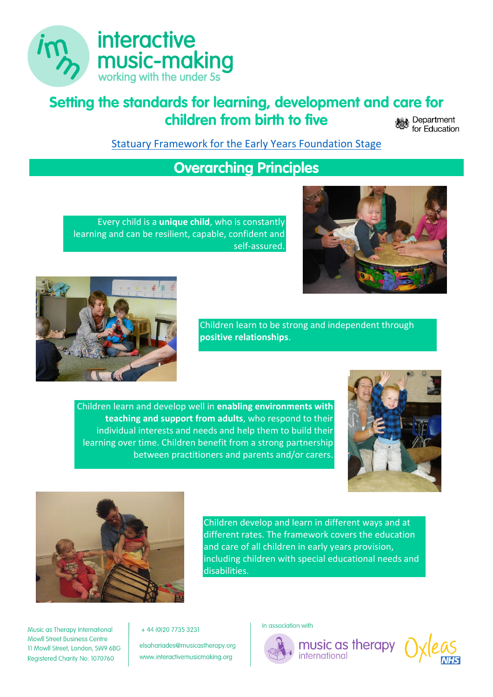

# **Setting the standards for learning, development and care for children from birth to five**

**Department** for Education

[Statuary Framework for the Early Years Foundation Stage](https://assets.publishing.service.gov.uk/government/uploads/system/uploads/attachment_data/file/974907/EYFS_framework_-_March_2021.pdf)

### **Overarching Principles**

Every child is a **unique child**, who is constantly learning and can be resilient, capable, confident and self-assured.





Children learn to be strong and independent through **positive relationships**.

Children learn and develop well in **enabling environments with teaching and support from adults**, who respond to their individual interests and needs and help them to build their learning over time. Children benefit from a strong partnership between practitioners and parents and/or carers.





Children develop and learn in different ways and at different rates. The framework covers the education and care of all children in early years provision, including children with special educational needs and disabilities.

Music as Therapy International **Mowll Street Business Centre** 11 Mowll Street, London, SW9 6BG Registered Charity No: 1070760

+ 44 (0) 20 7735 3231

elsahariades@musicastherapy.org www.interactivemusicmaking.org

In association with



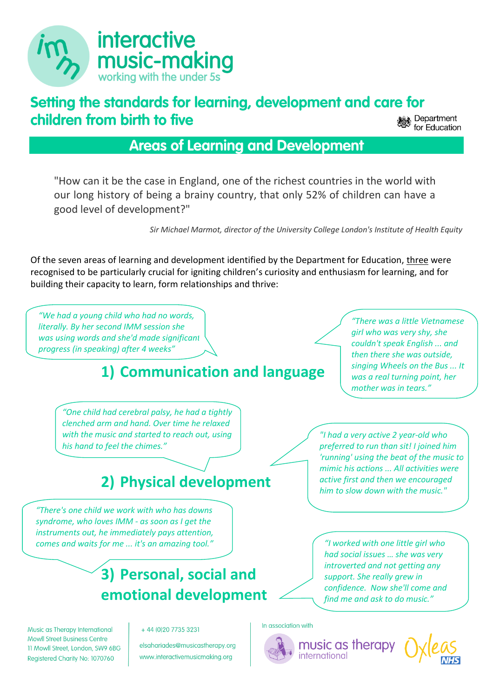

# **Setting the standards for learning, development and care for children from birth to five**

Department for Education

### **Areas of Learning and Development**

"How can it be the case in England, one of the richest countries in the world with our long history of being a brainy country, that only 52% of children can have a good level of development?"

*Sir Michael Marmot, director of the University College London's Institute of Health Equity*

Of the seven areas of learning and development identified by the Department for Education, three were recognised to be particularly crucial for igniting children's curiosity and enthusiasm for learning, and for building their capacity to learn, form relationships and thrive:

*"We had a young child who had no words, literally. By her second IMM session she was using words and she'd made significant progress (in speaking) after 4 weeks"*

# **1) Communication and language**

*"There was a little Vietnamese girl who was very shy, she couldn't speak English ... and then there she was outside, singing Wheels on the Bus ... It was a real turning point, her mother was in tears."*

*"One child had cerebral palsy, he had a tightly clenched arm and hand. Over time he relaxed with the music and started to reach out, using his hand to feel the chimes."*

# **2) Physical development**

*"There's one child we work with who has downs syndrome, who loves IMM - as soon as I get the instruments out, he immediately pays attention, comes and waits for me ... it's an amazing tool."*

Music as Therapy International

11 Mowll Street, London, SW9 6BG

Registered Charity No: 1070760

**Mowll Street Business Centre** 

# **3) Personal, social and emotional development**

+ 44 (0) 20 7735 3231

elsahariades@musicastherapy.org www.interactivemusicmaking.org

*"I had a very active 2 year-old who preferred to run than sit! I joined him 'running' using the beat of the music to mimic his actions ... All activities were active first and then we encouraged him to slow down with the music."*

*"I worked with one little girl who had social issues … she was very introverted and not getting any support. She really grew in confidence. Now she'll come and find me and ask to do music."*

In association with



music as therapy